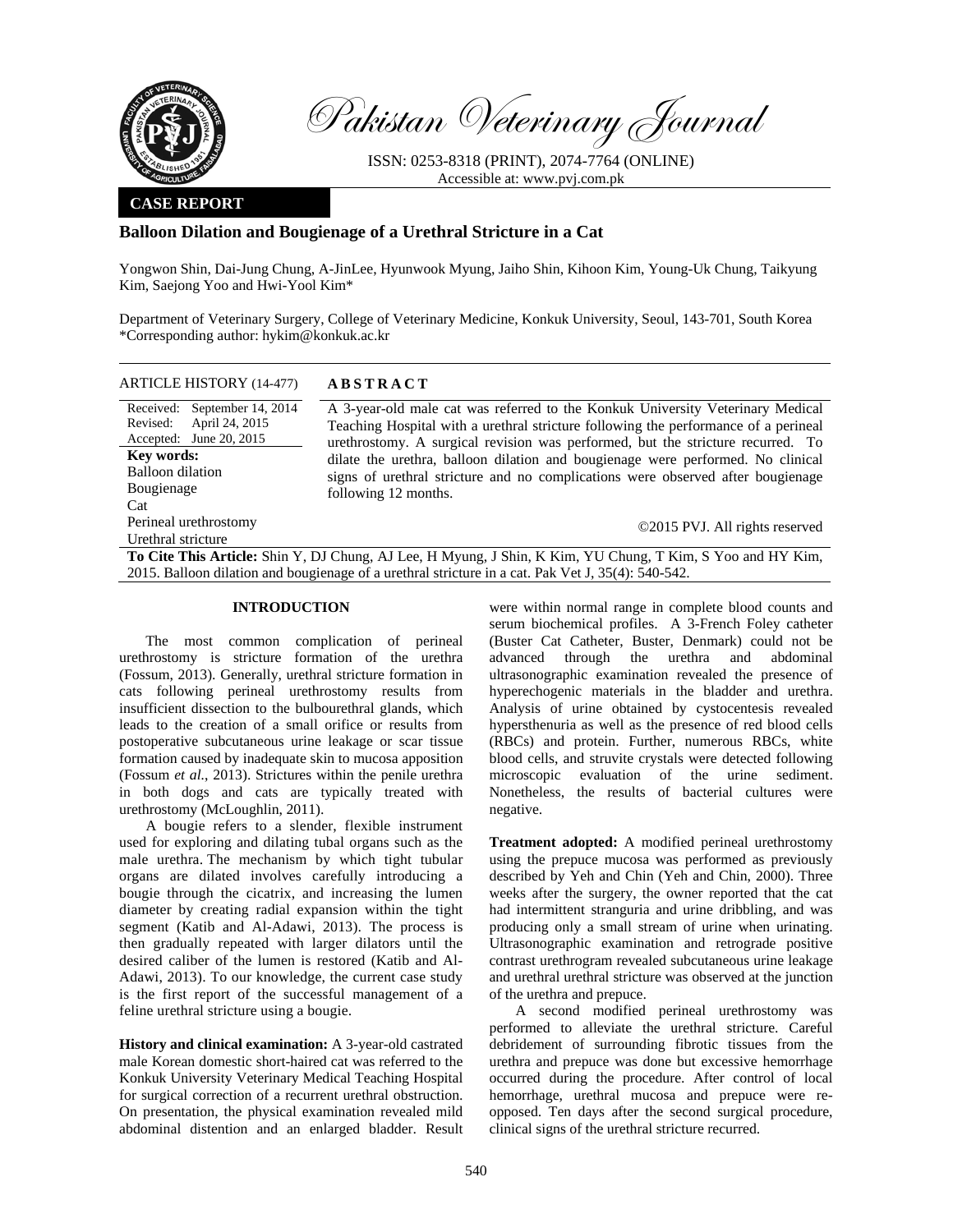

Cat

Urethral stricture

Pakistan Veterinary Journal

ISSN: 0253-8318 (PRINT), 2074-7764 (ONLINE) Accessible at: www.pvj.com.pk

## **CASE REPORT**

# **Balloon Dilation and Bougienage of a Urethral Stricture in a Cat**

Yongwon Shin, Dai-Jung Chung, A-JinLee, Hyunwook Myung, Jaiho Shin, Kihoon Kim, Young-Uk Chung, Taikyung Kim, Saejong Yoo and Hwi-Yool Kim\*

Department of Veterinary Surgery, College of Veterinary Medicine, Konkuk University, Seoul, 143-701, South Korea \*Corresponding author: hykim@konkuk.ac.kr

| ARTICLE HISTORY (14-477) | <b>ABSTRACT</b> |
|--------------------------|-----------------|
|--------------------------|-----------------|

Received: September 14, 2014 Revised: Accepted: April 24, 2015 June 20, 2015 A 3-year-old male cat was referred to the Konkuk University Veterinary Medical Teaching Hospital with a urethral stricture following the performance of a perineal urethrostomy. A surgical revision was performed, but the stricture recurred. To dilate the urethra, balloon dilation and bougienage were performed. No clinical signs of urethral stricture and no complications were observed after bougienage following 12 months. **Key words:**  Balloon dilation Bougienage Perineal urethrostomy

©2015 PVJ. All rights reserved

**To Cite This Article:** Shin Y, DJ Chung, AJ Lee, H Myung, J Shin, K Kim, YU Chung, T Kim, S Yoo and HY Kim, 2015. Balloon dilation and bougienage of a urethral stricture in a cat. Pak Vet J, 35(4): 540-542.

### **INTRODUCTION**

The most common complication of perineal urethrostomy is stricture formation of the urethra (Fossum, 2013). Generally, urethral stricture formation in cats following perineal urethrostomy results from insufficient dissection to the bulbourethral glands, which leads to the creation of a small orifice or results from postoperative subcutaneous urine leakage or scar tissue formation caused by inadequate skin to mucosa apposition (Fossum *et al.*, 2013). Strictures within the penile urethra in both dogs and cats are typically treated with urethrostomy (McLoughlin, 2011).

A bougie refers to a slender, flexible instrument used for exploring and dilating tubal organs such as the male urethra. The mechanism by which tight tubular organs are dilated involves carefully introducing a bougie through the cicatrix, and increasing the lumen diameter by creating radial expansion within the tight segment (Katib and Al-Adawi, 2013). The process is then gradually repeated with larger dilators until the desired caliber of the lumen is restored (Katib and Al-Adawi, 2013). To our knowledge, the current case study is the first report of the successful management of a feline urethral stricture using a bougie.

**History and clinical examination:** A 3-year-old castrated male Korean domestic short-haired cat was referred to the Konkuk University Veterinary Medical Teaching Hospital for surgical correction of a recurrent urethral obstruction. On presentation, the physical examination revealed mild abdominal distention and an enlarged bladder. Result were within normal range in complete blood counts and serum biochemical profiles. A 3-French Foley catheter (Buster Cat Catheter, Buster, Denmark) could not be advanced through the urethra and abdominal ultrasonographic examination revealed the presence of hyperechogenic materials in the bladder and urethra. Analysis of urine obtained by cystocentesis revealed hypersthenuria as well as the presence of red blood cells (RBCs) and protein. Further, numerous RBCs, white blood cells, and struvite crystals were detected following microscopic evaluation of the urine sediment. Nonetheless, the results of bacterial cultures were negative.

**Treatment adopted:** A modified perineal urethrostomy using the prepuce mucosa was performed as previously described by Yeh and Chin (Yeh and Chin, 2000). Three weeks after the surgery, the owner reported that the cat had intermittent stranguria and urine dribbling, and was producing only a small stream of urine when urinating. Ultrasonographic examination and retrograde positive contrast urethrogram revealed subcutaneous urine leakage and urethral urethral stricture was observed at the junction of the urethra and prepuce.

A second modified perineal urethrostomy was performed to alleviate the urethral stricture. Careful debridement of surrounding fibrotic tissues from the urethra and prepuce was done but excessive hemorrhage occurred during the procedure. After control of local hemorrhage, urethral mucosa and prepuce were reopposed. Ten days after the second surgical procedure, clinical signs of the urethral stricture recurred.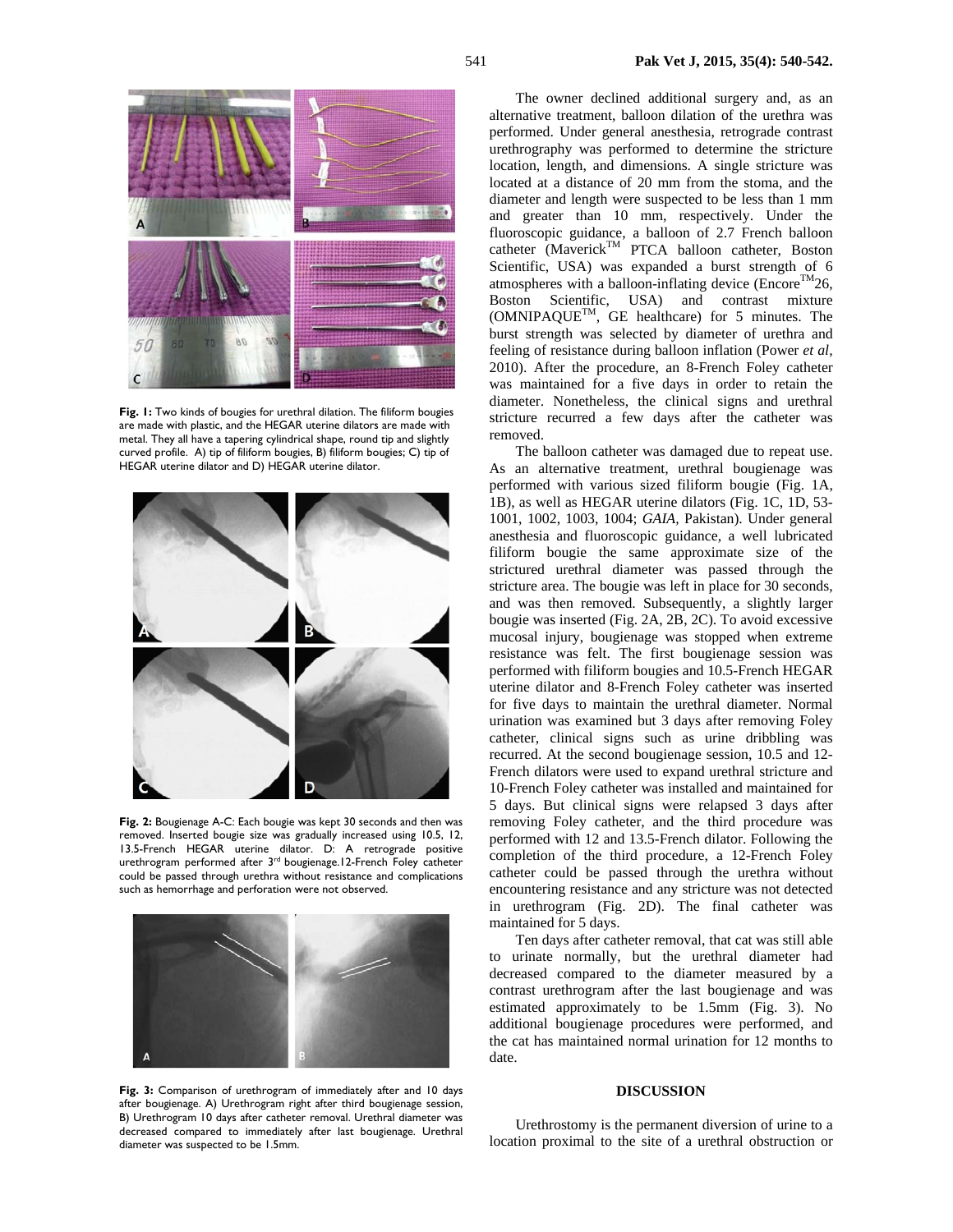

Fig. 1: Two kinds of bougies for urethral dilation. The filiform bougies are made with plastic, and the HEGAR uterine dilators are made with metal. They all have a tapering cylindrical shape, round tip and slightly curved profile. A) tip of filiform bougies, B) filiform bougies; C) tip of HEGAR uterine dilator and D) HEGAR uterine dilator.



**Fig. 2:** Bougienage A-C: Each bougie was kept 30 seconds and then was removed. Inserted bougie size was gradually increased using 10.5, 12, 13.5-French HEGAR uterine dilator. D: A retrograde positive urethrogram performed after 3rd bougienage.12-French Foley catheter could be passed through urethra without resistance and complications such as hemorrhage and perforation were not observed.



Fig. 3: Comparison of urethrogram of immediately after and 10 days after bougienage. A) Urethrogram right after third bougienage session, B) Urethrogram 10 days after catheter removal. Urethral diameter was decreased compared to immediately after last bougienage. Urethral diameter was suspected to be 1.5mm.

The owner declined additional surgery and, as an alternative treatment, balloon dilation of the urethra was performed. Under general anesthesia, retrograde contrast urethrography was performed to determine the stricture location, length, and dimensions. A single stricture was located at a distance of 20 mm from the stoma, and the diameter and length were suspected to be less than 1 mm and greater than 10 mm, respectively. Under the fluoroscopic guidance, a balloon of 2.7 French balloon  $catheter$  (Maverick<sup>TM</sup> PTCA balloon catheter, Boston Scientific, USA) was expanded a burst strength of 6 atmospheres with a balloon-inflating device (Encore<sup>TM</sup>26, Boston Scientific, USA) and contrast mixture (OMNIPAQUETM, GE healthcare) for 5 minutes. The burst strength was selected by diameter of urethra and feeling of resistance during balloon inflation (Power *et al,* 2010). After the procedure, an 8-French Foley catheter was maintained for a five days in order to retain the diameter. Nonetheless, the clinical signs and urethral stricture recurred a few days after the catheter was removed.

The balloon catheter was damaged due to repeat use. As an alternative treatment, urethral bougienage was performed with various sized filiform bougie (Fig. 1A, 1B), as well as HEGAR uterine dilators (Fig. 1C, 1D, 53- 1001, 1002, 1003, 1004; *GAIA,* Pakistan). Under general anesthesia and fluoroscopic guidance, a well lubricated filiform bougie the same approximate size of the strictured urethral diameter was passed through the stricture area. The bougie was left in place for 30 seconds, and was then removed. Subsequently, a slightly larger bougie was inserted (Fig. 2A, 2B, 2C). To avoid excessive mucosal injury, bougienage was stopped when extreme resistance was felt. The first bougienage session was performed with filiform bougies and 10.5-French HEGAR uterine dilator and 8-French Foley catheter was inserted for five days to maintain the urethral diameter. Normal urination was examined but 3 days after removing Foley catheter, clinical signs such as urine dribbling was recurred. At the second bougienage session, 10.5 and 12- French dilators were used to expand urethral stricture and 10-French Foley catheter was installed and maintained for 5 days. But clinical signs were relapsed 3 days after removing Foley catheter, and the third procedure was performed with 12 and 13.5-French dilator. Following the completion of the third procedure, a 12-French Foley catheter could be passed through the urethra without encountering resistance and any stricture was not detected in urethrogram (Fig. 2D). The final catheter was maintained for 5 days.

Ten days after catheter removal, that cat was still able to urinate normally, but the urethral diameter had decreased compared to the diameter measured by a contrast urethrogram after the last bougienage and was estimated approximately to be 1.5mm (Fig. 3). No additional bougienage procedures were performed, and the cat has maintained normal urination for 12 months to date.

#### **DISCUSSION**

Urethrostomy is the permanent diversion of urine to a location proximal to the site of a urethral obstruction or